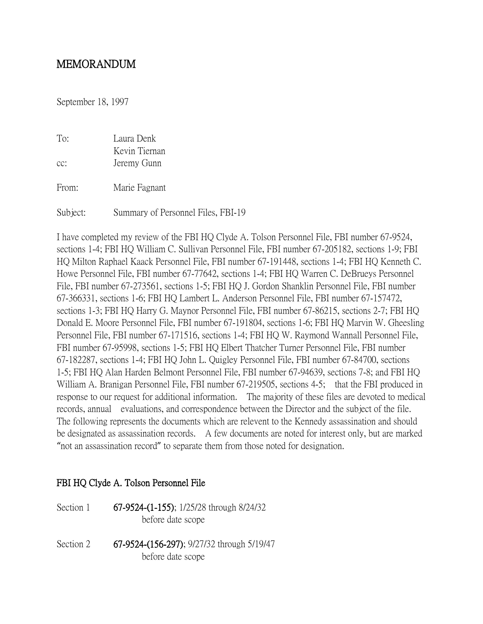## MEMORANDUM

September 18, 1997

| To:<br>$cc$ : | Laura Denk<br>Kevin Tiernan<br>Jeremy Gunn |
|---------------|--------------------------------------------|
| From:         | Marie Fagnant                              |
| Subject:      | Summary of Personnel Files, FBI-19         |

I have completed my review of the FBI HQ Clyde A. Tolson Personnel File, FBI number 67-9524, sections 1-4; FBI HQ William C. Sullivan Personnel File, FBI number 67-205182, sections 1-9; FBI HQ Milton Raphael Kaack Personnel File, FBI number 67-191448, sections 1-4; FBI HQ Kenneth C. Howe Personnel File, FBI number 67-77642, sections 1-4; FBI HQ Warren C. DeBrueys Personnel File, FBI number 67-273561, sections 1-5; FBI HQ J. Gordon Shanklin Personnel File, FBI number 67-366331, sections 1-6; FBI HQ Lambert L. Anderson Personnel File, FBI number 67-157472, sections 1-3; FBI HQ Harry G. Maynor Personnel File, FBI number 67-86215, sections 2-7; FBI HQ Donald E. Moore Personnel File, FBI number 67-191804, sections 1-6; FBI HQ Marvin W. Gheesling Personnel File, FBI number 67-171516, sections 1-4; FBI HQ W. Raymond Wannall Personnel File, FBI number 67-95998, sections 1-5; FBI HQ Elbert Thatcher Turner Personnel File, FBI number 67-182287, sections 1-4; FBI HQ John L. Quigley Personnel File, FBI number 67-84700, sections 1-5; FBI HQ Alan Harden Belmont Personnel File, FBI number 67-94639, sections 7-8; and FBI HQ William A. Branigan Personnel File, FBI number 67-219505, sections 4-5; that the FBI produced in response to our request for additional information. The majority of these files are devoted to medical records, annual evaluations, and correspondence between the Director and the subject of the file. The following represents the documents which are relevent to the Kennedy assassination and should be designated as assassination records. A few documents are noted for interest only, but are marked "not an assassination record" to separate them from those noted for designation.

#### FBI HQ Clyde A. Tolson Personnel File

| Section 1 | 67-9524-(1-155); 1/25/28 through 8/24/32<br>before date scope   |
|-----------|-----------------------------------------------------------------|
| Section 2 | 67-9524-(156-297); 9/27/32 through 5/19/47<br>before date scope |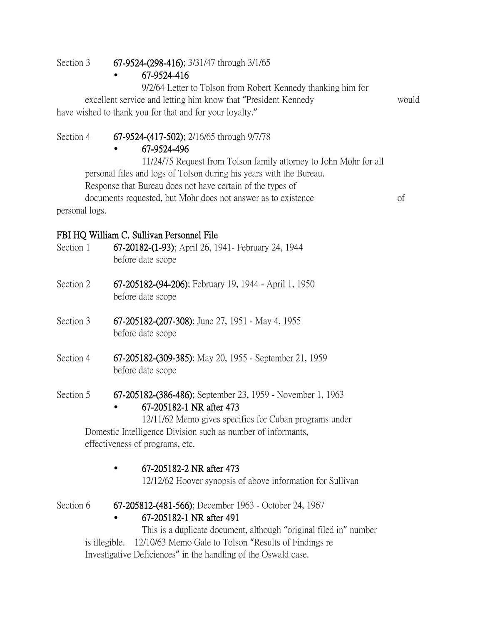Section 3 67-9524-(298-416); 3/31/47 through 3/1/65

## • 67-9524-416

9/2/64 Letter to Tolson from Robert Kennedy thanking him for excellent service and letting him know that "President Kennedy would have wished to thank you for that and for your loyalty."

## Section 4 67-9524-(417-502); 2/16/65 through 9/7/78

## • 67-9524-496

11/24/75 Request from Tolson family attorney to John Mohr for all personal files and logs of Tolson during his years with the Bureau. Response that Bureau does not have certain of the types of documents requested, but Mohr does not answer as to existence of personal logs.

## FBI HQ William C. Sullivan Personnel File

- Section 1 67-20182-(1-93); April 26, 1941- February 24, 1944 before date scope
- Section 2 67-205182-(94-206); February 19, 1944 April 1, 1950 before date scope
- Section 3 67-205182-(207-308); June 27, 1951 May 4, 1955 before date scope
- Section 4 67-205182-(309-385); May 20, 1955 September 21, 1959 before date scope
- Section 5 67-205182-(386-486); September 23, 1959 November 1, 1963
	- 67-205182-1 NR after 473

12/11/62 Memo gives specifics for Cuban programs under Domestic Intelligence Division such as number of informants, effectiveness of programs, etc.

• 67-205182-2 NR after 473

12/12/62 Hoover synopsis of above information for Sullivan

Section 6 67-205812-(481-566); December 1963 - October 24, 1967

## • 67-205182-1 NR after 491

This is a duplicate document, although "original filed in" number is illegible. 12/10/63 Memo Gale to Tolson "Results of Findings re Investigative Deficiences" in the handling of the Oswald case.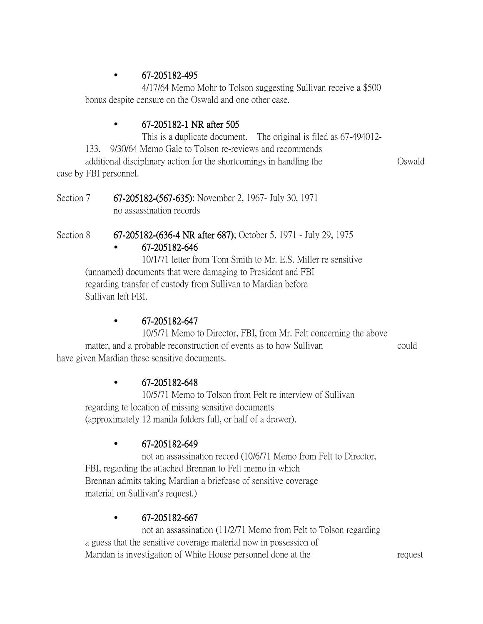## • 67-205182-495

4/17/64 Memo Mohr to Tolson suggesting Sullivan receive a \$500 bonus despite censure on the Oswald and one other case.

## • 67-205182-1 NR after 505

This is a duplicate document. The original is filed as 67-494012-

133. 9/30/64 Memo Gale to Tolson re-reviews and recommends

additional disciplinary action for the shortcomings in handling the Oswald case by FBI personnel.

Section 7 67-205182-(567-635); November 2, 1967- July 30, 1971 no assassination records

## Section 8 67-205182-(636-4 NR after 687); October 5, 1971 - July 29, 1975

## • 67-205182-646

10/1/71 letter from Tom Smith to Mr. E.S. Miller re sensitive (unnamed) documents that were damaging to President and FBI regarding transfer of custody from Sullivan to Mardian before Sullivan left FBI.

## • 67-205182-647

10/5/71 Memo to Director, FBI, from Mr. Felt concerning the above matter, and a probable reconstruction of events as to how Sullivan could have given Mardian these sensitive documents.

## $\bullet$  67-205182-648

10/5/71 Memo to Tolson from Felt re interview of Sullivan regarding te location of missing sensitive documents (approximately 12 manila folders full, or half of a drawer).

## $\bullet$  67-205182-649

not an assassination record (10/6/71 Memo from Felt to Director, FBI, regarding the attached Brennan to Felt memo in which Brennan admits taking Mardian a briefcase of sensitive coverage material on Sullivan's request.)

## $\cdot$  67-205182-667

not an assassination (11/2/71 Memo from Felt to Tolson regarding a guess that the sensitive coverage material now in possession of Maridan is investigation of White House personnel done at the request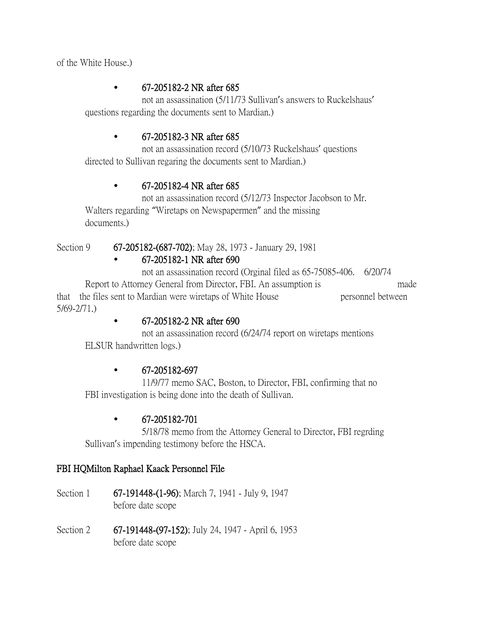of the White House.)

## • 67-205182-2 NR after 685

not an assassination (5/11/73 Sullivan's answers to Ruckelshaus' questions regarding the documents sent to Mardian.)

## • 67-205182-3 NR after 685

not an assassination record (5/10/73 Ruckelshaus' questions directed to Sullivan regaring the documents sent to Mardian.)

## • 67-205182-4 NR after 685

not an assassination record (5/12/73 Inspector Jacobson to Mr. Walters regarding "Wiretaps on Newspapermen" and the missing documents.)

Section 9 67-205182-(687-702); May 28, 1973 - January 29, 1981

# • 67-205182-1 NR after 690

not an assassination record (Orginal filed as 65-75085-406. 6/20/74 Report to Attorney General from Director, FBI. An assumption is made that the files sent to Mardian were wiretaps of White House personnel between 5/69-2/71.)

## • 67-205182-2 NR after 690

not an assassination record (6/24/74 report on wiretaps mentions ELSUR handwritten logs.)

## • 67-205182-697

11/9/77 memo SAC, Boston, to Director, FBI, confirming that no FBI investigation is being done into the death of Sullivan.

## • 67-205182-701

5/18/78 memo from the Attorney General to Director, FBI regrding Sullivan's impending testimony before the HSCA.

#### FBI HQMilton Raphael Kaack Personnel File

- Section 1 67-191448-(1-96); March 7, 1941 July 9, 1947 before date scope
- Section 2 67-191448-(97-152); July 24, 1947 April 6, 1953 before date scope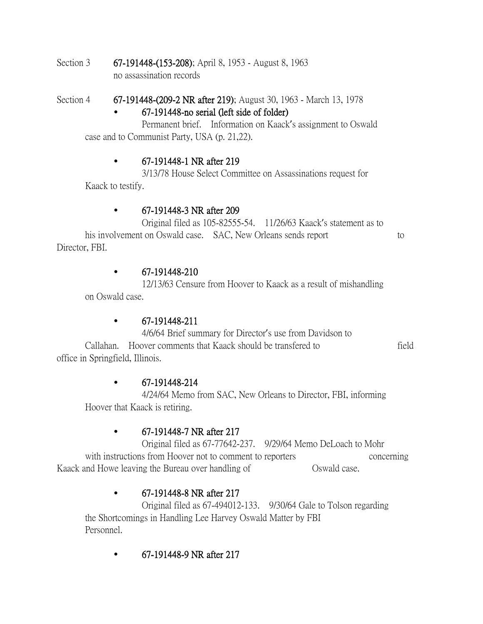Section 3 67-191448-(153-208); April 8, 1953 - August 8, 1963 no assassination records

Section 4 67-191448-(209-2 NR after 219); August 30, 1963 - March 13, 1978 • 67-191448-no serial (left side of folder)

Permanent brief. Information on Kaack's assignment to Oswald case and to Communist Party, USA (p. 21,22).

## • 67-191448-1 NR after 219

3/13/78 House Select Committee on Assassinations request for Kaack to testify.

#### • 67-191448-3 NR after 209

Original filed as 105-82555-54. 11/26/63 Kaack's statement as to his involvement on Oswald case. SAC, New Orleans sends report to to Director, FBI.

#### • 67-191448-210

12/13/63 Censure from Hoover to Kaack as a result of mishandling on Oswald case.

## • 67-191448-211

4/6/64 Brief summary for Director's use from Davidson to Callahan. Hoover comments that Kaack should be transfered to field office in Springfield, Illinois.

## • 67-191448-214

4/24/64 Memo from SAC, New Orleans to Director, FBI, informing Hoover that Kaack is retiring.

## • 67-191448-7 NR after 217

Original filed as 67-77642-237. 9/29/64 Memo DeLoach to Mohr with instructions from Hoover not to comment to reporters concerning Kaack and Howe leaving the Bureau over handling of Sauch Oswald case.

## • 67-191448-8 NR after 217

Original filed as 67-494012-133. 9/30/64 Gale to Tolson regarding the Shortcomings in Handling Lee Harvey Oswald Matter by FBI Personnel.

• 67-191448-9 NR after 217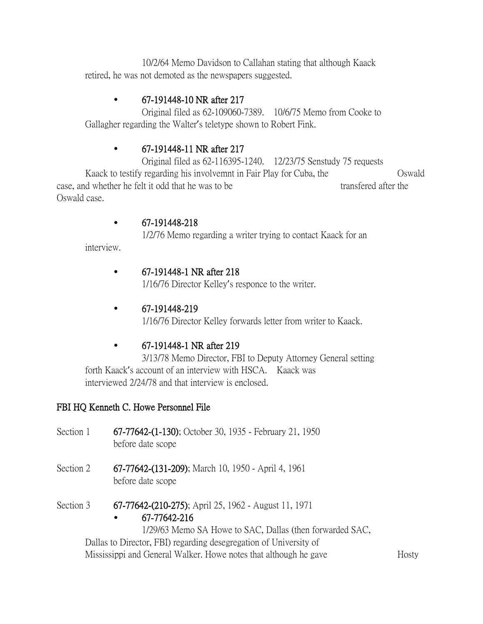10/2/64 Memo Davidson to Callahan stating that although Kaack retired, he was not demoted as the newspapers suggested.

## • 67-191448-10 NR after 217

Original filed as 62-109060-7389. 10/6/75 Memo from Cooke to Gallagher regarding the Walter's teletype shown to Robert Fink.

## • 67-191448-11 NR after 217

Original filed as 62-116395-1240. 12/23/75 Senstudy 75 requests Kaack to testify regarding his involvemnt in Fair Play for Cuba, the Oswald case, and whether he felt it odd that he was to be transfered after the Oswald case.

## • 67-191448-218

1/2/76 Memo regarding a writer trying to contact Kaack for an

interview.

## • 67-191448-1 NR after 218

1/16/76 Director Kelley's responce to the writer.

## • 67-191448-219

1/16/76 Director Kelley forwards letter from writer to Kaack.

## • 67-191448-1 NR after 219

3/13/78 Memo Director, FBI to Deputy Attorney General setting forth Kaack's account of an interview with HSCA. Kaack was interviewed 2/24/78 and that interview is enclosed.

## FBI HQ Kenneth C. Howe Personnel File

- Section 1 67-77642-(1-130); October 30, 1935 February 21, 1950 before date scope
- Section 2 67-77642-(131-209); March 10, 1950 April 4, 1961 before date scope

Section 3 67-77642-(210-275); April 25, 1962 - August 11, 1971

## • 67-77642-216

1/29/63 Memo SA Howe to SAC, Dallas (then forwarded SAC, Dallas to Director, FBI) regarding desegregation of University of

Mississippi and General Walker. Howe notes that although he gave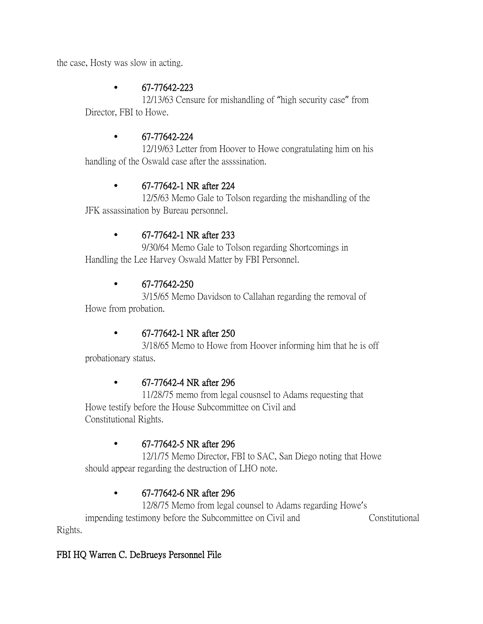the case, Hosty was slow in acting.

## • 67-77642-223

12/13/63 Censure for mishandling of "high security case" from Director, FBI to Howe.

## • 67-77642-224

12/19/63 Letter from Hoover to Howe congratulating him on his handling of the Oswald case after the assssination.

## • 67-77642-1 NR after 224

12/5/63 Memo Gale to Tolson regarding the mishandling of the JFK assassination by Bureau personnel.

## • 67-77642-1 NR after 233

9/30/64 Memo Gale to Tolson regarding Shortcomings in Handling the Lee Harvey Oswald Matter by FBI Personnel.

## $\cdot$  67-77642-250

3/15/65 Memo Davidson to Callahan regarding the removal of Howe from probation.

## • 67-77642-1 NR after 250

3/18/65 Memo to Howe from Hoover informing him that he is off probationary status.

## • 67-77642-4 NR after 296

11/28/75 memo from legal cousnsel to Adams requesting that Howe testify before the House Subcommittee on Civil and Constitutional Rights.

## • 67-77642-5 NR after 296

12/1/75 Memo Director, FBI to SAC, San Diego noting that Howe should appear regarding the destruction of LHO note.

## • 67-77642-6 NR after 296

12/8/75 Memo from legal counsel to Adams regarding Howe's impending testimony before the Subcommittee on Civil and Constitutional Rights.

## FBI HQ Warren C. DeBrueys Personnel File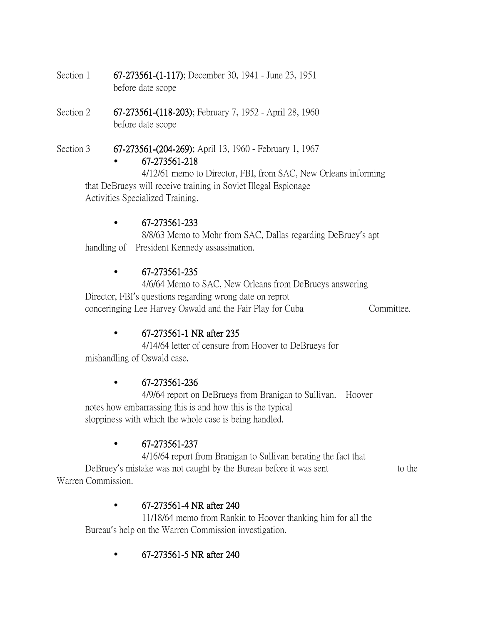- Section 1 67-273561-(1-117); December 30, 1941 June 23, 1951 before date scope
- Section 2 67-273561-(118-203); February 7, 1952 April 28, 1960 before date scope
- Section 3 67-273561-(204-269); April 13, 1960 February 1, 1967 • 67-273561-218

4/12/61 memo to Director, FBI, from SAC, New Orleans informing that DeBrueys will receive training in Soviet Illegal Espionage Activities Specialized Training.

## • 67-273561-233

8/8/63 Memo to Mohr from SAC, Dallas regarding DeBruey's apt handling of President Kennedy assassination.

#### • 67-273561-235

4/6/64 Memo to SAC, New Orleans from DeBrueys answering Director, FBI's questions regarding wrong date on reprot conceringing Lee Harvey Oswald and the Fair Play for Cuba Committee.

#### • 67-273561-1 NR after 235

4/14/64 letter of censure from Hoover to DeBrueys for mishandling of Oswald case.

#### • 67-273561-236

4/9/64 report on DeBrueys from Branigan to Sullivan. Hoover notes how embarrassing this is and how this is the typical sloppiness with which the whole case is being handled.

## • 67-273561-237

4/16/64 report from Branigan to Sullivan berating the fact that DeBruey's mistake was not caught by the Bureau before it was sent to the Warren Commission.

## • 67-273561-4 NR after 240

11/18/64 memo from Rankin to Hoover thanking him for all the Bureau's help on the Warren Commission investigation.

• 67-273561-5 NR after 240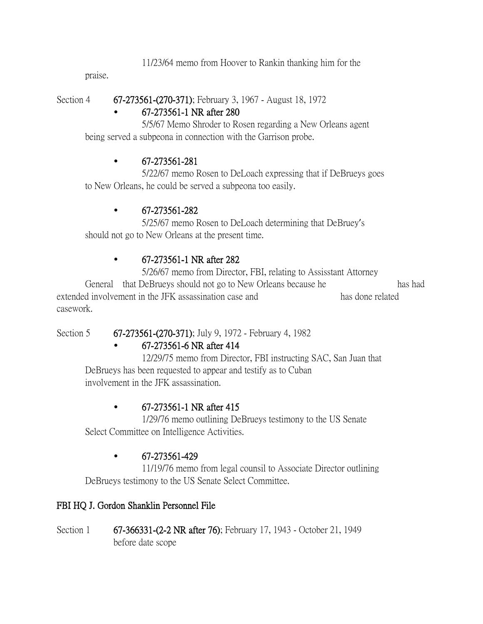11/23/64 memo from Hoover to Rankin thanking him for the

praise.

Section 4 67-273561-(270-371); February 3, 1967 - August 18, 1972

## • 67-273561-1 NR after 280

5/5/67 Memo Shroder to Rosen regarding a New Orleans agent being served a subpeona in connection with the Garrison probe.

## • 67-273561-281

5/22/67 memo Rosen to DeLoach expressing that if DeBrueys goes to New Orleans, he could be served a subpeona too easily.

## • 67-273561-282

5/25/67 memo Rosen to DeLoach determining that DeBruey's should not go to New Orleans at the present time.

## • 67-273561-1 NR after 282

5/26/67 memo from Director, FBI, relating to Assisstant Attorney General that DeBrueys should not go to New Orleans because he has had extended involvement in the JFK assassination case and has done related casework.

Section 5 67-273561-(270-371); July 9, 1972 - February 4, 1982

## • 67-273561-6 NR after 414

12/29/75 memo from Director, FBI instructing SAC, San Juan that DeBrueys has been requested to appear and testify as to Cuban involvement in the JFK assassination.

## • 67-273561-1 NR after 415

1/29/76 memo outlining DeBrueys testimony to the US Senate Select Committee on Intelligence Activities.

## • 67-273561-429

11/19/76 memo from legal counsil to Associate Director outlining DeBrueys testimony to the US Senate Select Committee.

## FBI HQ J. Gordon Shanklin Personnel File

Section 1 67-366331-(2-2 NR after 76); February 17, 1943 - October 21, 1949 before date scope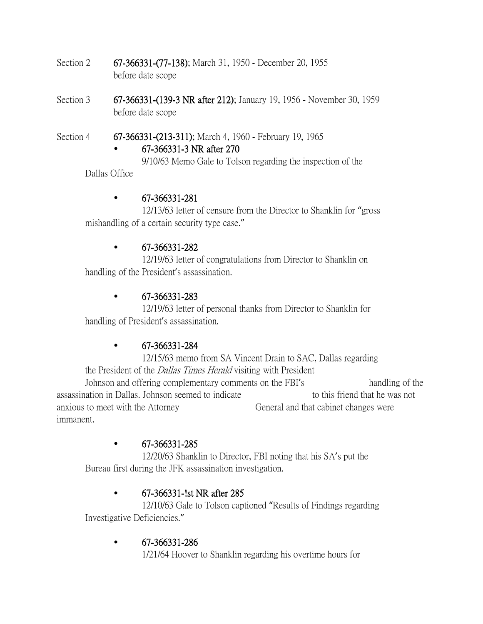- Section 2 67-366331-(77-138); March 31, 1950 December 20, 1955 before date scope
- Section 3 67-366331-(139-3 NR after 212); January 19, 1956 November 30, 1959 before date scope

Section 4 67-366331-(213-311); March 4, 1960 - February 19, 1965

## • 67-366331-3 NR after 270

9/10/63 Memo Gale to Tolson regarding the inspection of the Dallas Office

## • 67-366331-281

12/13/63 letter of censure from the Director to Shanklin for "gross mishandling of a certain security type case."

## • 67-366331-282

12/19/63 letter of congratulations from Director to Shanklin on handling of the President's assassination.

## • 67-366331-283

12/19/63 letter of personal thanks from Director to Shanklin for handling of President's assassination.

## • 67-366331-284

12/15/63 memo from SA Vincent Drain to SAC, Dallas regarding the President of the *Dallas Times Herald* visiting with President Johnson and offering complementary comments on the FBI's handling of the assassination in Dallas. Johnson seemed to indicate the to this friend that he was not anxious to meet with the Attorney General and that cabinet changes were immanent.

## • 67-366331-285

12/20/63 Shanklin to Director, FBI noting that his SA's put the Bureau first during the JFK assassination investigation.

## • 67-366331-!st NR after 285

12/10/63 Gale to Tolson captioned "Results of Findings regarding Investigative Deficiencies."

## • 67-366331-286

1/21/64 Hoover to Shanklin regarding his overtime hours for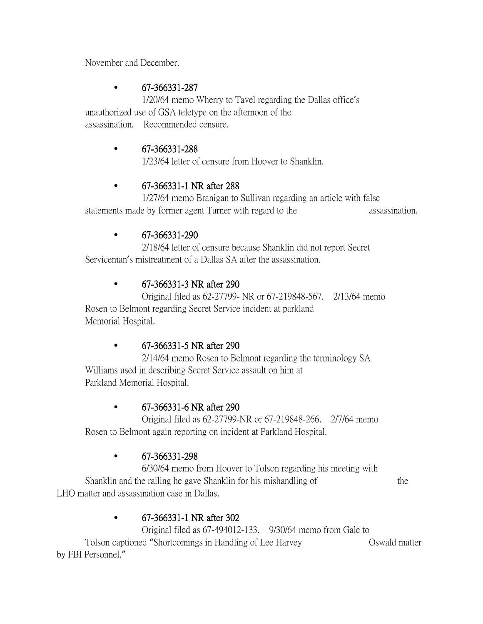November and December.

## • 67-366331-287

1/20/64 memo Wherry to Tavel regarding the Dallas office's unauthorized use of GSA teletype on the afternoon of the assassination. Recommended censure.

## • 67-366331-288

1/23/64 letter of censure from Hoover to Shanklin.

## • 67-366331-1 NR after 288

1/27/64 memo Branigan to Sullivan regarding an article with false statements made by former agent Turner with regard to the assassination.

## $\cdot$  67-366331-290

2/18/64 letter of censure because Shanklin did not report Secret Serviceman's mistreatment of a Dallas SA after the assassination.

## • 67-366331-3 NR after 290

Original filed as 62-27799- NR or 67-219848-567. 2/13/64 memo Rosen to Belmont regarding Secret Service incident at parkland Memorial Hospital.

## • 67-366331-5 NR after 290

2/14/64 memo Rosen to Belmont regarding the terminology SA Williams used in describing Secret Service assault on him at Parkland Memorial Hospital.

## • 67-366331-6 NR after 290

Original filed as 62-27799-NR or 67-219848-266. 2/7/64 memo Rosen to Belmont again reporting on incident at Parkland Hospital.

## • 67-366331-298

6/30/64 memo from Hoover to Tolson regarding his meeting with Shanklin and the railing he gave Shanklin for his mishandling of the LHO matter and assassination case in Dallas.

# • 67-366331-1 NR after 302

Original filed as 67-494012-133. 9/30/64 memo from Gale to Tolson captioned "Shortcomings in Handling of Lee Harvey Oswald matter by FBI Personnel."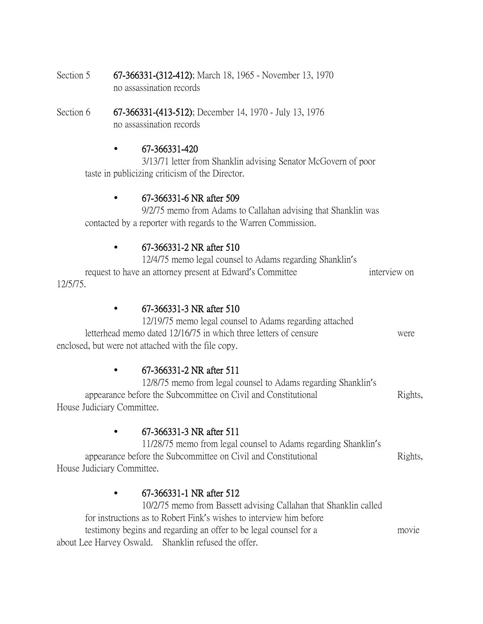- Section 5 67-366331-(312-412); March 18, 1965 November 13, 1970 no assassination records
- Section 6 67-366331-(413-512); December 14, 1970 July 13, 1976 no assassination records

#### $\cdot$  67-366331-420

3/13/71 letter from Shanklin advising Senator McGovern of poor taste in publicizing criticism of the Director.

#### • 67-366331-6 NR after 509

9/2/75 memo from Adams to Callahan advising that Shanklin was contacted by a reporter with regards to the Warren Commission.

#### • 67-366331-2 NR after 510

12/4/75 memo legal counsel to Adams regarding Shanklin's request to have an attorney present at Edward's Committee interview on interview on 12/5/75.

#### • 67-366331-3 NR after 510

12/19/75 memo legal counsel to Adams regarding attached letterhead memo dated 12/16/75 in which three letters of censure were enclosed, but were not attached with the file copy.

#### • 67-366331-2 NR after 511

12/8/75 memo from legal counsel to Adams regarding Shanklin's appearance before the Subcommittee on Civil and Constitutional Rights, House Judiciary Committee.

## • 67-366331-3 NR after 511

11/28/75 memo from legal counsel to Adams regarding Shanklin's appearance before the Subcommittee on Civil and Constitutional Rights, House Judiciary Committee.

## • 67-366331-1 NR after 512

10/2/75 memo from Bassett advising Callahan that Shanklin called for instructions as to Robert Fink's wishes to interview him before testimony begins and regarding an offer to be legal counsel for a movie about Lee Harvey Oswald. Shanklin refused the offer.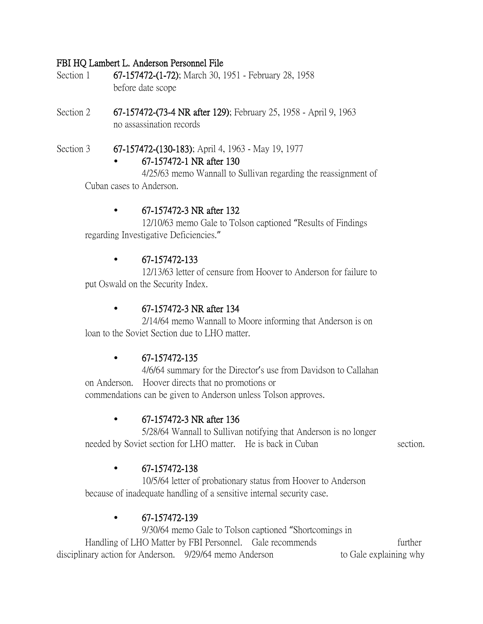#### FBI HQ Lambert L. Anderson Personnel File

- Section 1 67-157472-(1-72); March 30, 1951 February 28, 1958 before date scope
- Section 2 67-157472-(73-4 NR after 129); February 25, 1958 April 9, 1963 no assassination records
- Section 3 67-157472-(130-183); April 4, 1963 May 19, 1977 • 67-157472-1 NR after 130

4/25/63 memo Wannall to Sullivan regarding the reassignment of Cuban cases to Anderson.

#### • 67-157472-3 NR after 132

12/10/63 memo Gale to Tolson captioned "Results of Findings regarding Investigative Deficiencies."

#### • 67-157472-133

12/13/63 letter of censure from Hoover to Anderson for failure to put Oswald on the Security Index.

#### • 67-157472-3 NR after 134

2/14/64 memo Wannall to Moore informing that Anderson is on loan to the Soviet Section due to LHO matter.

## $\cdot$  67-157472-135

4/6/64 summary for the Director's use from Davidson to Callahan on Anderson. Hoover directs that no promotions or commendations can be given to Anderson unless Tolson approves.

## • 67-157472-3 NR after 136

5/28/64 Wannall to Sullivan notifying that Anderson is no longer needed by Soviet section for LHO matter. He is back in Cuban section.

## • 67-157472-138

10/5/64 letter of probationary status from Hoover to Anderson because of inadequate handling of a sensitive internal security case.

#### • 67-157472-139

9/30/64 memo Gale to Tolson captioned "Shortcomings in Handling of LHO Matter by FBI Personnel. Gale recommends further disciplinary action for Anderson. 9/29/64 memo Anderson to Gale explaining why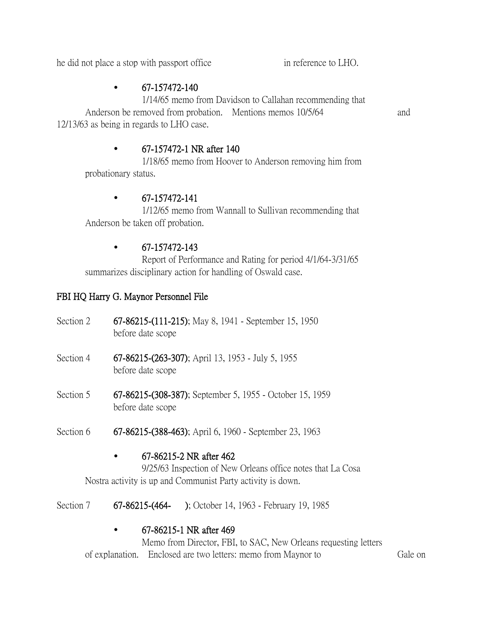he did not place a stop with passport office in reference to LHO.

## $\bullet$  67-157472-140

1/14/65 memo from Davidson to Callahan recommending that Anderson be removed from probation. Mentions memos 10/5/64 and 12/13/63 as being in regards to LHO case.

• 67-157472-1 NR after 140

1/18/65 memo from Hoover to Anderson removing him from probationary status.

## $\bullet$  67-157472-141

1/12/65 memo from Wannall to Sullivan recommending that Anderson be taken off probation.

## $\bullet$  67-157472-143

Report of Performance and Rating for period 4/1/64-3/31/65 summarizes disciplinary action for handling of Oswald case.

## FBI HQ Harry G. Maynor Personnel File

| Section 2 | 67-86215-(111-215); May 8, 1941 - September 15, 1950<br>before date scope                                                                                                                                                                                                                                                                                 |
|-----------|-----------------------------------------------------------------------------------------------------------------------------------------------------------------------------------------------------------------------------------------------------------------------------------------------------------------------------------------------------------|
| Section 4 | 67-86215-(263-307); April 13, 1953 - July 5, 1955<br>before date scope                                                                                                                                                                                                                                                                                    |
| Section 5 | 67-86215-(308-387); September 5, 1955 - October 15, 1959<br>before date scope                                                                                                                                                                                                                                                                             |
| Section 6 | 67-86215-(388-463); April 6, 1960 - September 23, 1963                                                                                                                                                                                                                                                                                                    |
|           | 67-86215-2 NR after 462<br>$\bigcap_{i=1}^{n}$ $\bigcap_{i=1}^{n}$ $\bigcap_{i=1}^{n}$ $\bigcap_{i=1}^{n}$ $\bigcap_{i=1}^{n}$ $\bigcap_{i=1}^{n}$ $\bigcap_{i=1}^{n}$ $\bigcap_{i=1}^{n}$ $\bigcap_{i=1}^{n}$ $\bigcap_{i=1}^{n}$ $\bigcap_{i=1}^{n}$ $\bigcap_{i=1}^{n}$ $\bigcap_{i=1}^{n}$ $\bigcap_{i=1}^{n}$ $\bigcap_{i=1}^{n}$ $\bigcap_{i=1}^{n$ |

9/25/63 Inspection of New Orleans office notes that La Cosa Nostra activity is up and Communist Party activity is down.

Section 7 67-86215-(464- ); October 14, 1963 - February 19, 1985

## • 67-86215-1 NR after 469

Memo from Director, FBI, to SAC, New Orleans requesting letters of explanation. Enclosed are two letters: memo from Maynor to Gale on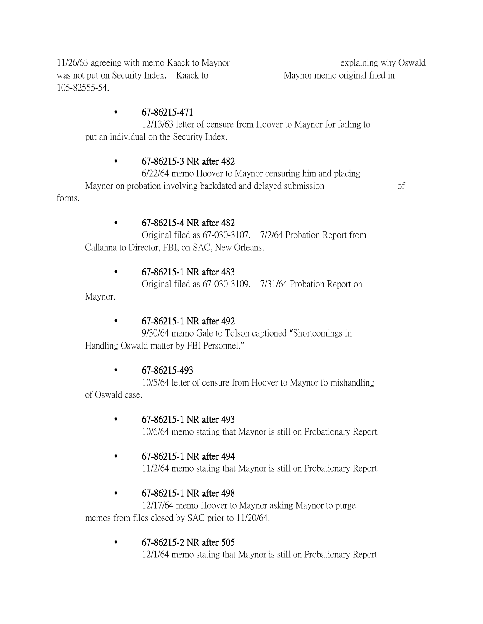11/26/63 agreeing with memo Kaack to Maynor explaining why Oswald was not put on Security Index. Kaack to Maynor memo original filed in 105-82555-54.

## • 67-86215-471

12/13/63 letter of censure from Hoover to Maynor for failing to put an individual on the Security Index.

## • 67-86215-3 NR after 482

6/22/64 memo Hoover to Maynor censuring him and placing Maynor on probation involving backdated and delayed submission of forms.

• 67-86215-4 NR after 482 Original filed as 67-030-3107. 7/2/64 Probation Report from

Callahna to Director, FBI, on SAC, New Orleans.

## • 67-86215-1 NR after 483

Original filed as 67-030-3109. 7/31/64 Probation Report on

Maynor.

## • 67-86215-1 NR after 492

9/30/64 memo Gale to Tolson captioned "Shortcomings in Handling Oswald matter by FBI Personnel."

## • 67-86215-493

10/5/64 letter of censure from Hoover to Maynor fo mishandling of Oswald case.

## • 67-86215-1 NR after 493

10/6/64 memo stating that Maynor is still on Probationary Report.

## • 67-86215-1 NR after 494

11/2/64 memo stating that Maynor is still on Probationary Report.

## • 67-86215-1 NR after 498

12/17/64 memo Hoover to Maynor asking Maynor to purge memos from files closed by SAC prior to 11/20/64.

## • 67-86215-2 NR after 505

12/1/64 memo stating that Maynor is still on Probationary Report.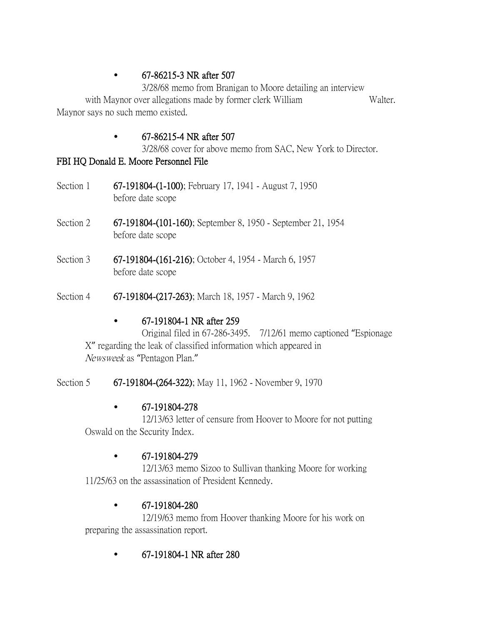## • 67-86215-3 NR after 507

3/28/68 memo from Branigan to Moore detailing an interview with Maynor over allegations made by former clerk William Walter. Maynor says no such memo existed.

## • 67-86215-4 NR after 507

3/28/68 cover for above memo from SAC, New York to Director.

## FBI HQ Donald E. Moore Personnel File

- Section 1 67-191804-(1-100); February 17, 1941 August 7, 1950 before date scope
- Section 2 67-191804-(101-160); September 8, 1950 September 21, 1954 before date scope
- Section 3 67-191804-(161-216); October 4, 1954 March 6, 1957 before date scope
- Section 4 67-191804-(217-263); March 18, 1957 March 9, 1962

## • 67-191804-1 NR after 259

Original filed in 67-286-3495. 7/12/61 memo captioned "Espionage X" regarding the leak of classified information which appeared in Newsweek as "Pentagon Plan."

Section 5 67-191804-(264-322); May 11, 1962 - November 9, 1970

## • 67-191804-278

12/13/63 letter of censure from Hoover to Moore for not putting Oswald on the Security Index.

## • 67-191804-279

12/13/63 memo Sizoo to Sullivan thanking Moore for working 11/25/63 on the assassination of President Kennedy.

## • 67-191804-280

12/19/63 memo from Hoover thanking Moore for his work on preparing the assassination report.

• 67-191804-1 NR after 280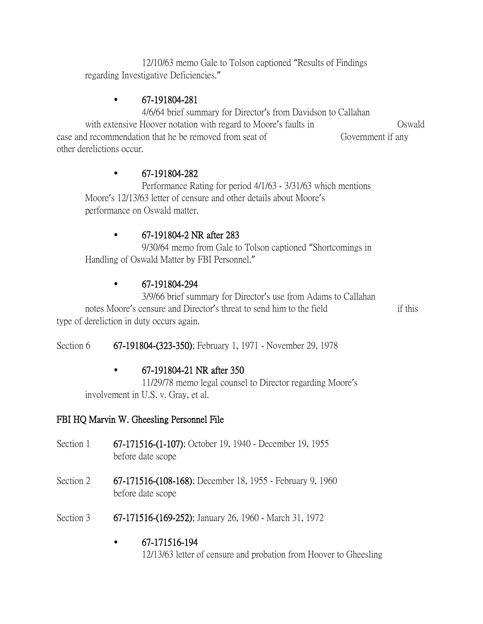12/10/63 memo Gale to Tolson captioned "Results of Findings regarding Investigative Deficiencies."

## • 67-191804-281

4/6/64 brief summary for Director's from Davidson to Callahan with extensive Hoover notation with regard to Moore's faults in Solution Oswald case and recommendation that he be removed from seat of Government if any other derelictions occur.

#### • 67-191804-282

Performance Rating for period 4/1/63 - 3/31/63 which mentions Moore's 12/13/63 letter of censure and other details about Moore's performance on Oswald matter.

#### • 67-191804-2 NR after 283

9/30/64 memo from Gale to Tolson captioned "Shortcomings in Handling of Oswald Matter by FBI Personnel."

#### • 67-191804-294

3/9/66 brief summary for Director's use from Adams to Callahan notes Moore's censure and Director's threat to send him to the field if this type of dereliction in duty occurs again.

Section 6 67-191804-(323-350); February 1, 1971 - November 29, 1978

## • 67-191804-21 NR after 350

11/29/78 memo legal counsel to Director regarding Moore's involvement in U.S. v. Gray, et al.

## FBI HQ Marvin W. Gheesling Personnel File

- Section 1 67-171516-(1-107); October 19, 1940 December 19, 1955 before date scope
- Section 2 67-171516-(108-168); December 18, 1955 February 9, 1960 before date scope
- Section 3 67-171516-(169-252); January 26, 1960 March 31, 1972

#### • 67-171516-194

12/13/63 letter of censure and probation from Hoover to Gheesling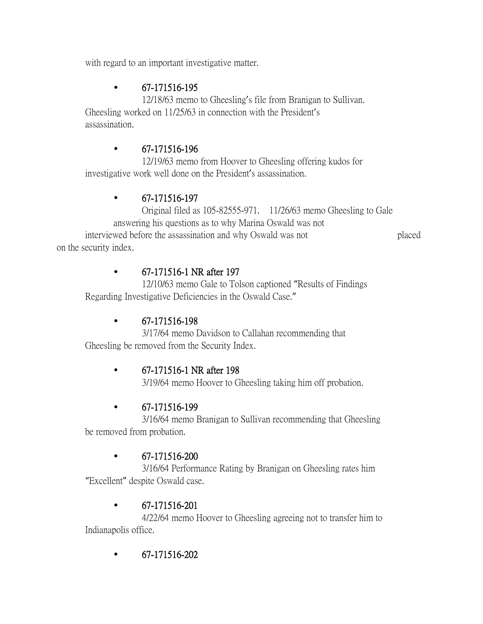with regard to an important investigative matter.

## • 67-171516-195

12/18/63 memo to Gheesling's file from Branigan to Sullivan. Gheesling worked on 11/25/63 in connection with the President's assassination.

## • 67-171516-196

12/19/63 memo from Hoover to Gheesling offering kudos for investigative work well done on the President's assassination.

## • 67-171516-197

Original filed as 105-82555-971. 11/26/63 memo Gheesling to Gale answering his questions as to why Marina Oswald was not interviewed before the assassination and why Oswald was not placed on the security index.

## • 67-171516-1 NR after 197

12/10/63 memo Gale to Tolson captioned "Results of Findings Regarding Investigative Deficiencies in the Oswald Case."

## • 67-171516-198

3/17/64 memo Davidson to Callahan recommending that Gheesling be removed from the Security Index.

## • 67-171516-1 NR after 198

3/19/64 memo Hoover to Gheesling taking him off probation.

## • 67-171516-199

3/16/64 memo Branigan to Sullivan recommending that Gheesling be removed from probation.

## • 67-171516-200

3/16/64 Performance Rating by Branigan on Gheesling rates him "Excellent" despite Oswald case.

## • 67-171516-201

4/22/64 memo Hoover to Gheesling agreeing not to transfer him to Indianapolis office.

• 67-171516-202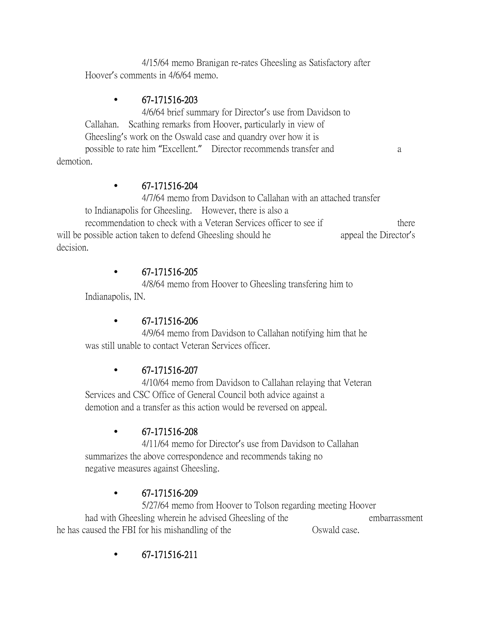4/15/64 memo Branigan re-rates Gheesling as Satisfactory after Hoover's comments in 4/6/64 memo.

## • 67-171516-203

4/6/64 brief summary for Director's use from Davidson to Callahan. Scathing remarks from Hoover, particularly in view of Gheesling's work on the Oswald case and quandry over how it is possible to rate him "Excellent." Director recommends transfer and a demotion.

## • 67-171516-204

4/7/64 memo from Davidson to Callahan with an attached transfer to Indianapolis for Gheesling. However, there is also a

recommendation to check with a Veteran Services officer to see if there will be possible action taken to defend Gheesling should he appeal the Director's decision.

## • 67-171516-205

4/8/64 memo from Hoover to Gheesling transfering him to Indianapolis, IN.

## • 67-171516-206

4/9/64 memo from Davidson to Callahan notifying him that he was still unable to contact Veteran Services officer.

## • 67-171516-207

4/10/64 memo from Davidson to Callahan relaying that Veteran Services and CSC Office of General Council both advice against a demotion and a transfer as this action would be reversed on appeal.

## • 67-171516-208

4/11/64 memo for Director's use from Davidson to Callahan summarizes the above correspondence and recommends taking no negative measures against Gheesling.

## $\bullet$  67-171516-209

5/27/64 memo from Hoover to Tolson regarding meeting Hoover had with Gheesling wherein he advised Gheesling of the embarrassment he has caused the FBI for his mishandling of the Oswald case.

• 67-171516-211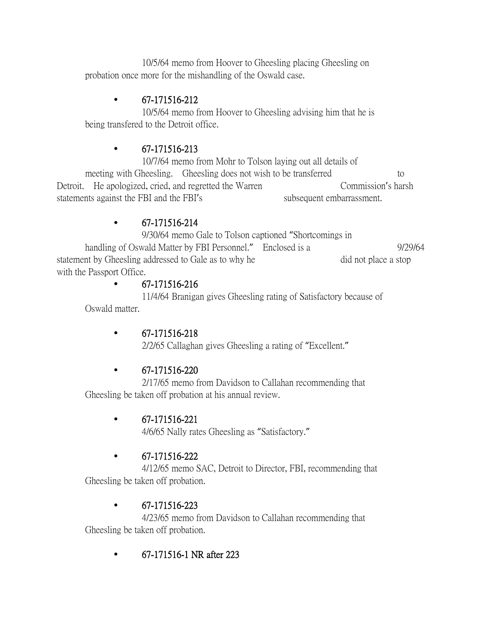10/5/64 memo from Hoover to Gheesling placing Gheesling on probation once more for the mishandling of the Oswald case.

## • 67-171516-212

10/5/64 memo from Hoover to Gheesling advising him that he is being transfered to the Detroit office.

## $\bullet$  67-171516-213

10/7/64 memo from Mohr to Tolson laying out all details of meeting with Gheesling. Gheesling does not wish to be transferred to Detroit. He apologized, cried, and regretted the Warren Commission's harsh statements against the FBI and the FBI's subsequent embarrassment.

## • 67-171516-214

9/30/64 memo Gale to Tolson captioned "Shortcomings in

handling of Oswald Matter by FBI Personnel." Enclosed is a 9/29/64 statement by Gheesling addressed to Gale as to why he did not place a stop with the Passport Office.

## • 67-171516-216

11/4/64 Branigan gives Gheesling rating of Satisfactory because of Oswald matter.

## • 67-171516-218

2/2/65 Callaghan gives Gheesling a rating of "Excellent."

## • 67-171516-220

2/17/65 memo from Davidson to Callahan recommending that Gheesling be taken off probation at his annual review.

## • 67-171516-221

4/6/65 Nally rates Gheesling as "Satisfactory."

## • 67-171516-222

4/12/65 memo SAC, Detroit to Director, FBI, recommending that Gheesling be taken off probation.

## • 67-171516-223

4/23/65 memo from Davidson to Callahan recommending that Gheesling be taken off probation.

## • 67-171516-1 NR after 223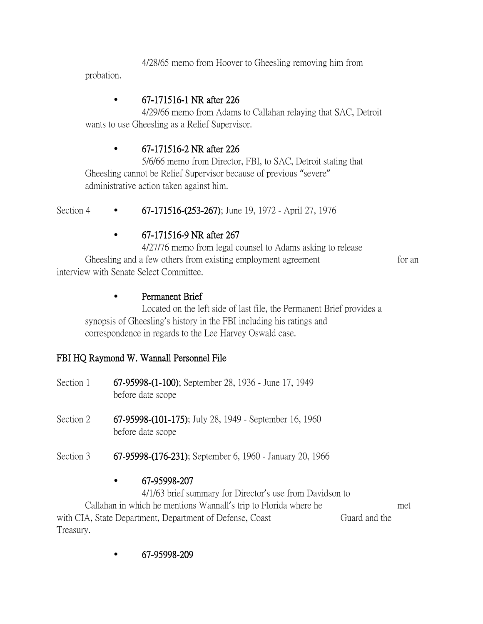4/28/65 memo from Hoover to Gheesling removing him from probation.

## • 67-171516-1 NR after 226

4/29/66 memo from Adams to Callahan relaying that SAC, Detroit wants to use Gheesling as a Relief Supervisor.

## • 67-171516-2 NR after 226

5/6/66 memo from Director, FBI, to SAC, Detroit stating that Gheesling cannot be Relief Supervisor because of previous "severe" administrative action taken against him.

Section 4 • 67-171516-(253-267); June 19, 1972 - April 27, 1976

#### • 67-171516-9 NR after 267

4/27/76 memo from legal counsel to Adams asking to release Gheesling and a few others from existing employment agreement for an interview with Senate Select Committee.

#### • Permanent Brief

Located on the left side of last file, the Permanent Brief provides a synopsis of Gheesling's history in the FBI including his ratings and correspondence in regards to the Lee Harvey Oswald case.

## FBI HQ Raymond W. Wannall Personnel File

- Section 1 67-95998-(1-100); September 28, 1936 June 17, 1949 before date scope
- Section 2 67-95998-(101-175); July 28, 1949 September 16, 1960 before date scope
- Section 3 67-95998-(176-231); September 6, 1960 January 20, 1966

#### • 67-95998-207

4/1/63 brief summary for Director's use from Davidson to Callahan in which he mentions Wannall's trip to Florida where he met with CIA, State Department, Department of Defense, Coast Guard and the Treasury.

• 67-95998-209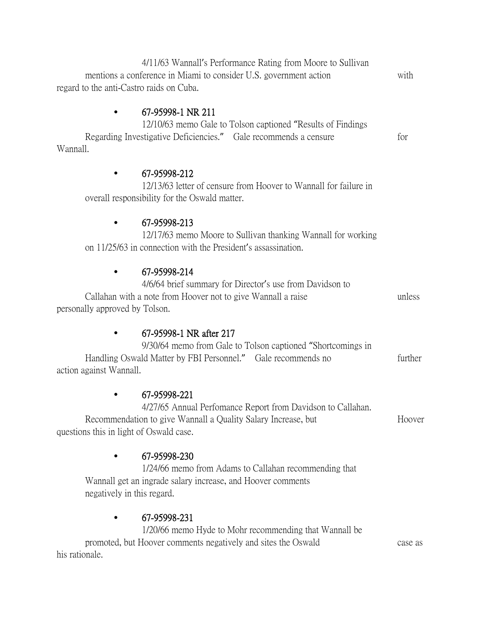4/11/63 Wannall's Performance Rating from Moore to Sullivan mentions a conference in Miami to consider U.S. government action with regard to the anti-Castro raids on Cuba. • 67-95998-1 NR 211 12/10/63 memo Gale to Tolson captioned "Results of Findings Regarding Investigative Deficiencies." Gale recommends a censure for Wannall. • 67-95998-212 12/13/63 letter of censure from Hoover to Wannall for failure in overall responsibility for the Oswald matter. • 67-95998-213 12/17/63 memo Moore to Sullivan thanking Wannall for working on 11/25/63 in connection with the President's assassination. • 67-95998-214 4/6/64 brief summary for Director's use from Davidson to Callahan with a note from Hoover not to give Wannall a raise unless personally approved by Tolson. • 67-95998-1 NR after 217 9/30/64 memo from Gale to Tolson captioned "Shortcomings in Handling Oswald Matter by FBI Personnel." Gale recommends no further action against Wannall. • 67-95998-221 4/27/65 Annual Perfomance Report from Davidson to Callahan. Recommendation to give Wannall a Quality Salary Increase, but Hoover questions this in light of Oswald case. • 67-95998-230 1/24/66 memo from Adams to Callahan recommending that Wannall get an ingrade salary increase, and Hoover comments negatively in this regard. • 67-95998-231 1/20/66 memo Hyde to Mohr recommending that Wannall be promoted, but Hoover comments negatively and sites the Oswald case as his rationale.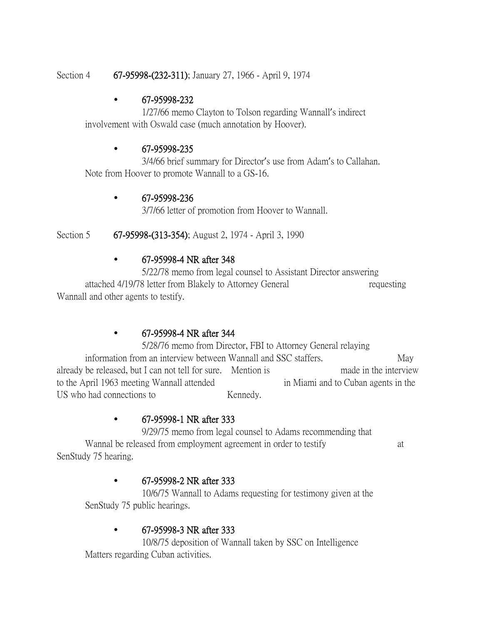#### Section 4 67-95998-(232-311); January 27, 1966 - April 9, 1974

#### • 67-95998-232

1/27/66 memo Clayton to Tolson regarding Wannall's indirect involvement with Oswald case (much annotation by Hoover).

#### • 67-95998-235

3/4/66 brief summary for Director's use from Adam's to Callahan. Note from Hoover to promote Wannall to a GS-16.

#### • 67-95998-236

3/7/66 letter of promotion from Hoover to Wannall.

Section 5 67-95998-(313-354); August 2, 1974 - April 3, 1990

#### • 67-95998-4 NR after 348

5/22/78 memo from legal counsel to Assistant Director answering attached 4/19/78 letter from Blakely to Attorney General requesting Wannall and other agents to testify.

## • 67-95998-4 NR after 344

5/28/76 memo from Director, FBI to Attorney General relaying information from an interview between Wannall and SSC staffers. May already be released, but I can not tell for sure. Mention is made in the interview to the April 1963 meeting Wannall attended in Miami and to Cuban agents in the US who had connections to Kennedy.

## • 67-95998-1 NR after 333

9/29/75 memo from legal counsel to Adams recommending that Wannal be released from employment agreement in order to testify at SenStudy 75 hearing.

## • 67-95998-2 NR after 333

10/6/75 Wannall to Adams requesting for testimony given at the SenStudy 75 public hearings.

## • 67-95998-3 NR after 333

10/8/75 deposition of Wannall taken by SSC on Intelligence Matters regarding Cuban activities.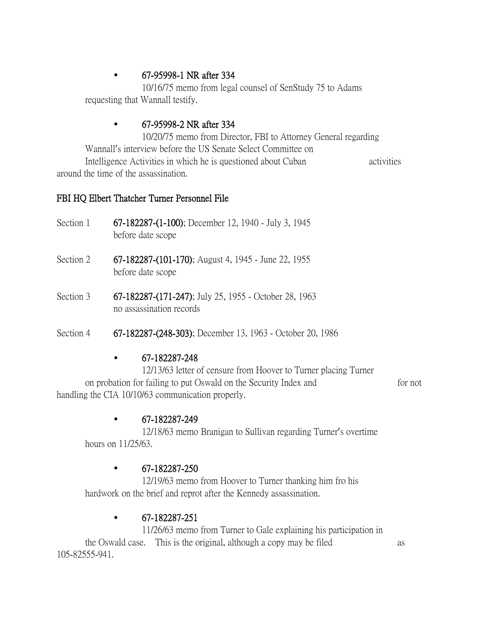## • 67-95998-1 NR after 334

10/16/75 memo from legal counsel of SenStudy 75 to Adams requesting that Wannall testify.

## • 67-95998-2 NR after 334

10/20/75 memo from Director, FBI to Attorney General regarding Wannall's interview before the US Senate Select Committee on Intelligence Activities in which he is questioned about Cuban activities around the time of the assassination.

## FBI HQ Elbert Thatcher Turner Personnel File

- Section 1 67-182287-(1-100); December 12, 1940 July 3, 1945 before date scope
- Section 2 67-182287-(101-170); August 4, 1945 June 22, 1955 before date scope
- Section 3 67-182287-(171-247); July 25, 1955 October 28, 1963 no assassination records
- Section 4 67-182287-(248-303); December 13, 1963 October 20, 1986

## • 67-182287-248

12/13/63 letter of censure from Hoover to Turner placing Turner on probation for failing to put Oswald on the Security Index and for not handling the CIA 10/10/63 communication properly.

## • 67-182287-249

12/18/63 memo Branigan to Sullivan regarding Turner's overtime hours on 11/25/63.

## • 67-182287-250

12/19/63 memo from Hoover to Turner thanking him fro his hardwork on the brief and reprot after the Kennedy assassination.

## • 67-182287-251

11/26/63 memo from Turner to Gale explaining his participation in the Oswald case. This is the original, although a copy may be filed as 105-82555-941.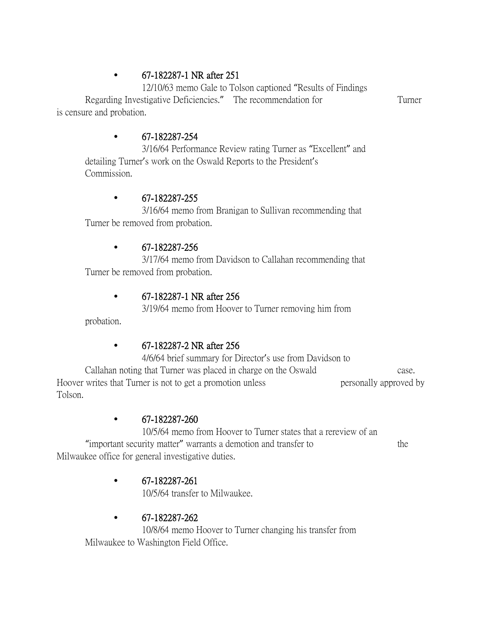## • 67-182287-1 NR after 251

12/10/63 memo Gale to Tolson captioned "Results of Findings Regarding Investigative Deficiencies." The recommendation for Turner is censure and probation.

## • 67-182287-254

3/16/64 Performance Review rating Turner as "Excellent" and detailing Turner's work on the Oswald Reports to the President's Commission.

#### • 67-182287-255

3/16/64 memo from Branigan to Sullivan recommending that Turner be removed from probation.

#### • 67-182287-256

3/17/64 memo from Davidson to Callahan recommending that Turner be removed from probation.

## • 67-182287-1 NR after 256

3/19/64 memo from Hoover to Turner removing him from

probation.

## • 67-182287-2 NR after 256

4/6/64 brief summary for Director's use from Davidson to Callahan noting that Turner was placed in charge on the Oswald case.

Hoover writes that Turner is not to get a promotion unless personally approved by Tolson.

## • 67-182287-260

10/5/64 memo from Hoover to Turner states that a rereview of an "important security matter" warrants a demotion and transfer to the Milwaukee office for general investigative duties.

## • 67-182287-261

10/5/64 transfer to Milwaukee.

## • 67-182287-262

10/8/64 memo Hoover to Turner changing his transfer from Milwaukee to Washington Field Office.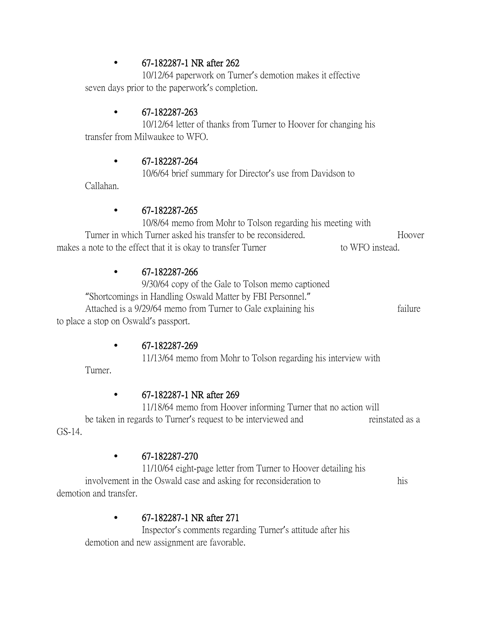#### • 67-182287-1 NR after 262

10/12/64 paperwork on Turner's demotion makes it effective seven days prior to the paperwork's completion.

#### • 67-182287-263

10/12/64 letter of thanks from Turner to Hoover for changing his transfer from Milwaukee to WFO.

#### • 67-182287-264

10/6/64 brief summary for Director's use from Davidson to

Callahan.

## • 67-182287-265

10/8/64 memo from Mohr to Tolson regarding his meeting with Turner in which Turner asked his transfer to be reconsidered. Turner in Whole makes a note to the effect that it is okay to transfer Turner to WFO instead.

#### • 67-182287-266

9/30/64 copy of the Gale to Tolson memo captioned "Shortcomings in Handling Oswald Matter by FBI Personnel." Attached is a 9/29/64 memo from Turner to Gale explaining his failure to place a stop on Oswald's passport.

#### • 67-182287-269

11/13/64 memo from Mohr to Tolson regarding his interview with

Turner.

## • 67-182287-1 NR after 269

11/18/64 memo from Hoover informing Turner that no action will be taken in regards to Turner's request to be interviewed and reinstated as a GS-14.

#### • 67-182287-270

11/10/64 eight-page letter from Turner to Hoover detailing his involvement in the Oswald case and asking for reconsideration to his demotion and transfer.

## • 67-182287-1 NR after 271

Inspector's comments regarding Turner's attitude after his demotion and new assignment are favorable.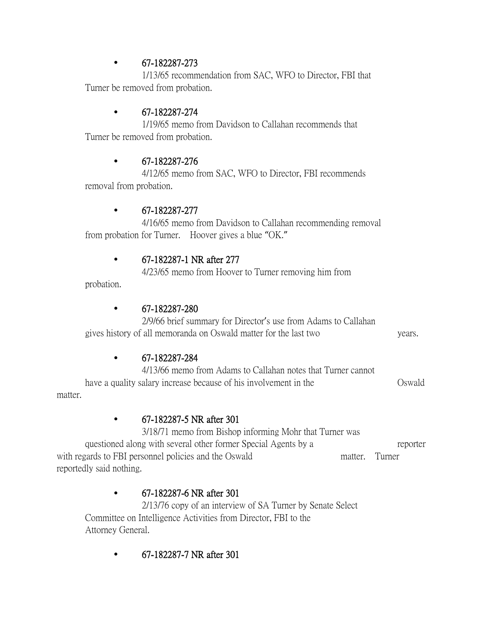## • 67-182287-273

1/13/65 recommendation from SAC, WFO to Director, FBI that Turner be removed from probation.

## • 67-182287-274

1/19/65 memo from Davidson to Callahan recommends that Turner be removed from probation.

## • 67-182287-276

4/12/65 memo from SAC, WFO to Director, FBI recommends removal from probation.

## • 67-182287-277

4/16/65 memo from Davidson to Callahan recommending removal from probation for Turner. Hoover gives a blue "OK."

## • 67-182287-1 NR after 277

4/23/65 memo from Hoover to Turner removing him from

probation.

## • 67-182287-280

2/9/66 brief summary for Director's use from Adams to Callahan gives history of all memoranda on Oswald matter for the last two years.

## • 67-182287-284

4/13/66 memo from Adams to Callahan notes that Turner cannot have a quality salary increase because of his involvement in the Oswald matter.

## • 67-182287-5 NR after 301

3/18/71 memo from Bishop informing Mohr that Turner was questioned along with several other former Special Agents by a reporter with regards to FBI personnel policies and the Oswald matter. Turner reportedly said nothing.

## • 67-182287-6 NR after 301

2/13/76 copy of an interview of SA Turner by Senate Select Committee on Intelligence Activities from Director, FBI to the Attorney General.

• 67-182287-7 NR after 301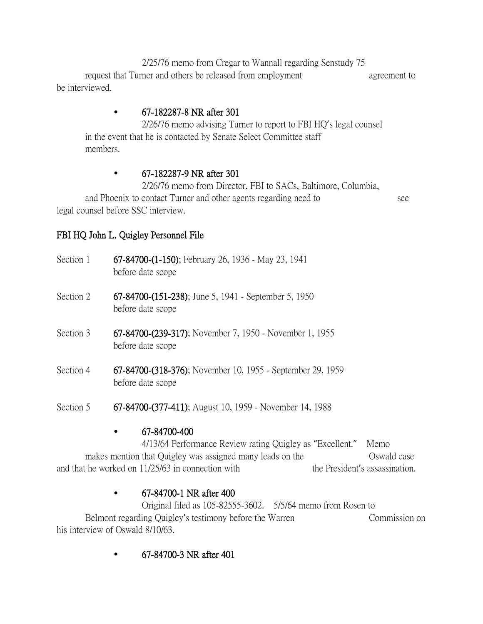2/25/76 memo from Cregar to Wannall regarding Senstudy 75 request that Turner and others be released from employment agreement to be interviewed.

## • 67-182287-8 NR after 301

2/26/76 memo advising Turner to report to FBI HQ's legal counsel in the event that he is contacted by Senate Select Committee staff members.

## • 67-182287-9 NR after 301

2/26/76 memo from Director, FBI to SACs, Baltimore, Columbia, and Phoenix to contact Turner and other agents regarding need to see legal counsel before SSC interview.

## FBI HQ John L. Quigley Personnel File

- Section 1 67-84700-(1-150); February 26, 1936 May 23, 1941 before date scope
- Section 2 67-84700-(151-238); June 5, 1941 September 5, 1950 before date scope
- Section 3 67-84700-(239-317); November 7, 1950 November 1, 1955 before date scope
- Section 4 67-84700-(318-376); November 10, 1955 September 29, 1959 before date scope
- Section 5 67-84700-(377-411); August 10, 1959 November 14, 1988

## • 67-84700-400

4/13/64 Performance Review rating Quigley as "Excellent." Memo makes mention that Quigley was assigned many leads on the Oswald case and that he worked on 11/25/63 in connection with the President's assassination.

## • 67-84700-1 NR after 400

Original filed as 105-82555-3602. 5/5/64 memo from Rosen to Belmont regarding Quigley's testimony before the Warren Commission on his interview of Oswald 8/10/63.

• 67-84700-3 NR after 401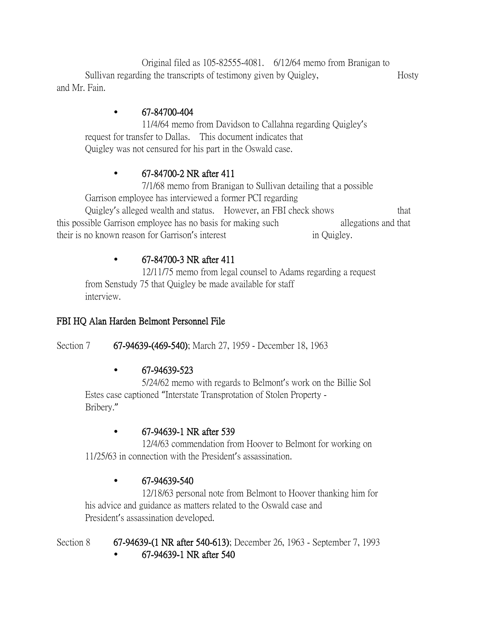Original filed as 105-82555-4081. 6/12/64 memo from Branigan to Sullivan regarding the transcripts of testimony given by Quigley, Hosty and Mr. Fain.

## • 67-84700-404

11/4/64 memo from Davidson to Callahna regarding Quigley's request for transfer to Dallas. This document indicates that Quigley was not censured for his part in the Oswald case.

## • 67-84700-2 NR after 411

7/1/68 memo from Branigan to Sullivan detailing that a possible Garrison employee has interviewed a former PCI regarding Quigley's alleged wealth and status. However, an FBI check shows that this possible Garrison employee has no basis for making such allegations and that their is no known reason for Garrison's interest in Quigley.

## • 67-84700-3 NR after 411

12/11/75 memo from legal counsel to Adams regarding a request from Senstudy 75 that Quigley be made available for staff interview.

## FBI HQ Alan Harden Belmont Personnel File

Section 7 67-94639-(469-540); March 27, 1959 - December 18, 1963

## • 67-94639-523

5/24/62 memo with regards to Belmont's work on the Billie Sol Estes case captioned "Interstate Transprotation of Stolen Property - Bribery."

## • 67-94639-1 NR after 539

12/4/63 commendation from Hoover to Belmont for working on 11/25/63 in connection with the President's assassination.

## • 67-94639-540

12/18/63 personal note from Belmont to Hoover thanking him for his advice and guidance as matters related to the Oswald case and President's assassination developed.

Section 8 67-94639-(1 NR after 540-613); December 26, 1963 - September 7, 1993 • 67-94639-1 NR after 540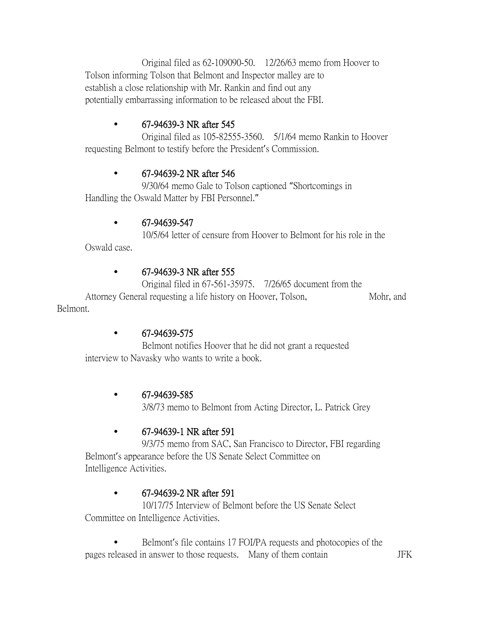Original filed as 62-109090-50. 12/26/63 memo from Hoover to Tolson informing Tolson that Belmont and Inspector malley are to establish a close relationship with Mr. Rankin and find out any potentially embarrassing information to be released about the FBI.

## • 67-94639-3 NR after 545

Original filed as 105-82555-3560. 5/1/64 memo Rankin to Hoover requesting Belmont to testify before the President's Commission.

## • 67-94639-2 NR after 546

9/30/64 memo Gale to Tolson captioned "Shortcomings in Handling the Oswald Matter by FBI Personnel."

#### • 67-94639-547

10/5/64 letter of censure from Hoover to Belmont for his role in the Oswald case.

#### • 67-94639-3 NR after 555

Original filed in 67-561-35975. 7/26/65 document from the Attorney General requesting a life history on Hoover, Tolson, Mohr, and Belmont.

#### • 67-94639-575

Belmont notifies Hoover that he did not grant a requested interview to Navasky who wants to write a book.

#### • 67-94639-585

3/8/73 memo to Belmont from Acting Director, L. Patrick Grey

## • 67-94639-1 NR after 591

9/3/75 memo from SAC, San Francisco to Director, FBI regarding Belmont's appearance before the US Senate Select Committee on Intelligence Activities.

## • 67-94639-2 NR after 591

10/17/75 Interview of Belmont before the US Senate Select Committee on Intelligence Activities.

Belmont's file contains 17 FOI/PA requests and photocopies of the pages released in answer to those requests. Many of them contain JFK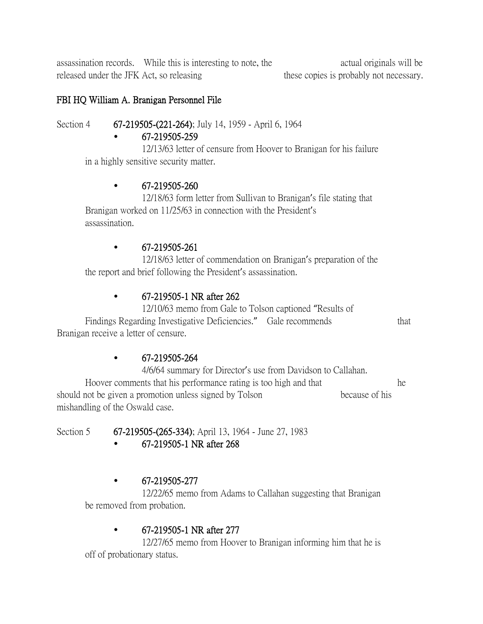assassination records. While this is interesting to note, the actual originals will be released under the JFK Act, so releasing these copies is probably not necessary.

#### FBI HQ William A. Branigan Personnel File

#### Section 4 **67-219505-(221-264)**; July 14, 1959 - April 6, 1964

#### • 67-219505-259

12/13/63 letter of censure from Hoover to Branigan for his failure in a highly sensitive security matter.

#### • 67-219505-260

12/18/63 form letter from Sullivan to Branigan's file stating that Branigan worked on 11/25/63 in connection with the President's assassination.

#### $\bullet$  67-219505-261

12/18/63 letter of commendation on Branigan's preparation of the the report and brief following the President's assassination.

## • 67-219505-1 NR after 262

12/10/63 memo from Gale to Tolson captioned "Results of Findings Regarding Investigative Deficiencies." Gale recommends that Branigan receive a letter of censure.

## • 67-219505-264

4/6/64 summary for Director's use from Davidson to Callahan. Hoover comments that his performance rating is too high and that he should not be given a promotion unless signed by Tolson because of his mishandling of the Oswald case.

Section 5 67-219505-(265-334); April 13, 1964 - June 27, 1983

• 67-219505-1 NR after 268

## • 67-219505-277

12/22/65 memo from Adams to Callahan suggesting that Branigan be removed from probation.

## • 67-219505-1 NR after 277

12/27/65 memo from Hoover to Branigan informing him that he is off of probationary status.